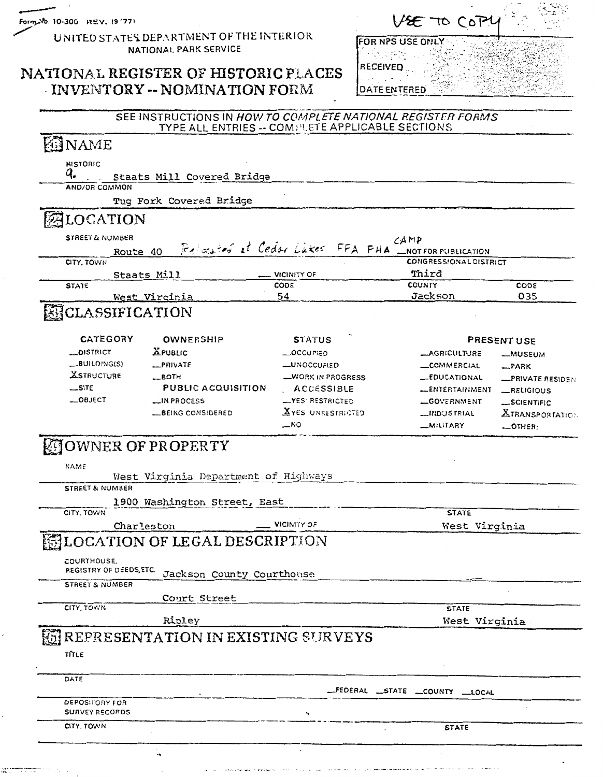Form 20. 10-300 REV. (9/77)

UNITED STATES DEPARTMENT OF THE INTERIOR NATIONAL PARK SERVICE

## NATIONAL REGISTER OF HISTORIC PLACES INVENTORY -- NOMINATION FORM

| $V$ to $C$ of $V$                            |  |
|----------------------------------------------|--|
| FOR NPS USE ONLY<br>RECEIVED<br>DATE ENTERED |  |

## SEE INSTRUCTIONS IN HOW TO COMPLETE NATIONAL REGISTER FORMS TYPE ALL ENTRIES -- COMPLETE APPLICABLE SECTIONS

| <b>ENAME</b>                       |                                            |                                                    |                               |                         |
|------------------------------------|--------------------------------------------|----------------------------------------------------|-------------------------------|-------------------------|
| <b>HISTORIC</b>                    |                                            |                                                    |                               |                         |
| ۹.                                 | Staats Mill Covered Bridge                 |                                                    |                               |                         |
| AND/OR COMMON                      |                                            |                                                    |                               |                         |
|                                    | Tug Fork Covered Bridge                    |                                                    |                               |                         |
| ALOCATION                          |                                            |                                                    |                               |                         |
| <b>STREET &amp; NUMBER</b>         |                                            |                                                    | CAMP                          |                         |
| Route 40                           |                                            | Relocated at Cedar Lakes FFA FHA MOTFORFUBLICATION |                               |                         |
| CITY, TOWN                         |                                            |                                                    | <b>CONGRESSIONAL DISTRICT</b> |                         |
|                                    | Staats Mill                                | VICINITY OF                                        | Third                         |                         |
| <b>STATE</b>                       |                                            | CODE                                               | COUNTY                        | CODE                    |
|                                    | <u>West Virginia</u>                       | 54                                                 | Jackson                       | 035                     |
| ECLASSIFICATION                    |                                            |                                                    |                               |                         |
| CATEGORY                           | <b>OWNERSHIP</b>                           | <b>STATUS</b>                                      |                               | <b>PRESENT USE</b>      |
| _DISTRICT                          | $X$ PUBLIC                                 | $\_$ OCCUPIED                                      | __AGRICULTURE                 | __MUSEUM                |
| __BUILDING(S)                      | _PRIVATE                                   | <b>__UNOCCUPIED</b>                                | _COMMERCIAL                   | RARK                    |
| <b>XSTRUCTURE</b>                  | $-$ BOTH                                   | <b>WORK IN PROGRESS</b>                            | <b>__EDUCATIONAL</b>          | <b>EPRIVATE RESIDEN</b> |
| _SITE                              | <b>PUBLIC ACQUISITION</b>                  | ACCESSIBLE                                         | __ENTERTAINMENT               | _RELIGIOUS              |
| __OBJECT                           | <b>LIN PROCESS</b>                         | <b>__YES RESTRICTED</b>                            | _GOVERNMENT                   | <b>__SCIENTIFIC</b>     |
|                                    | BEING CONSIDERED                           | XYES UNRESTRICTED                                  | <b>__INDUSTRIAL</b>           | <b>XTRANSPORTATION</b>  |
|                                    |                                            | __N0                                               | _MILITARY                     | OTHER:                  |
| <b>SJOWNER OF PROPERTY</b><br>NAME | West Virginia Department of Highways       |                                                    |                               |                         |
| STREET & NUMBER                    |                                            |                                                    |                               |                         |
|                                    | 1900 Washington Street, East               |                                                    |                               |                         |
| CITY, TOWN                         |                                            |                                                    | <b>STATE</b>                  |                         |
|                                    | Charleston                                 | VICINITY OF                                        | West Virginia                 |                         |
|                                    | LOCATION OF LEGAL DESCRIPTION              |                                                    |                               |                         |
| COURTHOUSE.                        |                                            |                                                    |                               |                         |
| REGISTRY OF DEEDS, ETC.            | Jackson County Courthouse                  |                                                    |                               |                         |
| <b>STREET &amp; NUMBER</b>         |                                            |                                                    |                               |                         |
|                                    | Court Street                               |                                                    |                               |                         |
| CITY, TOWN                         |                                            |                                                    | <b>STATE</b>                  |                         |
|                                    | Ripley                                     |                                                    | West Virginia                 |                         |
|                                    | <b>EREPRESENTATION IN EXISTING SURVEYS</b> |                                                    |                               |                         |
| TITLE                              |                                            |                                                    |                               |                         |
| DATE                               |                                            |                                                    |                               |                         |
| <b>DEPOSITORY FOR</b>              |                                            |                                                    | FEDERAL STATE COUNTY LOCAL    |                         |
| <b>SURVEY RECORDS</b>              |                                            | ۰,                                                 |                               |                         |
|                                    |                                            |                                                    |                               |                         |
| CITY. TOWN                         |                                            |                                                    | <b>STATE</b>                  |                         |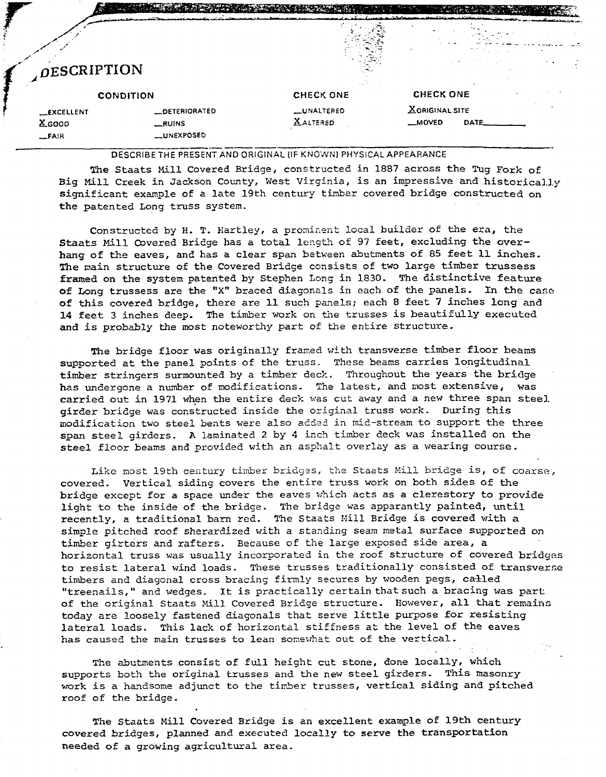| <b>DESCRIPTION</b>                     |                                       |                               |                                           | $\sim$ $\sim$ |
|----------------------------------------|---------------------------------------|-------------------------------|-------------------------------------------|---------------|
|                                        | <b>CONDITION</b>                      | <b>CHECK ONE</b>              | <b>CHECK ONE</b>                          |               |
| _EXCELLENT<br><b>X</b> GOOD<br>$-FA1R$ | _DETERIORATED<br>_RUINS<br>_UNEXPOSED | _UNALTERED<br><b>XALTERED</b> | <b>XORIGINAL SITE</b><br>DATE_<br>__MOVED |               |

**DESCRIBE THE PRESENT AND ORIGINAL (IF KNOWN) PHYSICAL APPEARANCE** 

The Staats Mill Covered Bridge, constructed in 1887 across the Tug Fork of Big Mill Creek in Jackson County, West Virginia, is an impressive and historically significant example of a late 19th century timber covered bridge constructed on **the** patented Long truss system.

Constructed by H. T. Hartley, a prominent local builder of the era, the **Staats** Mill Covered Brisge has a total length of 97 feet, excluding the overhang of the eaves, and has a clear span between abutments of 85 feet 11 inches. The main structure of the Covered Bridge consists of two large timber trussess **framed** on the system patented by Stephen Long in 1830. **The** distinctive feature of tong trussess are the **"X"** braced diagonals in each of the panels. In **the** case of this covered bridge, there are 11 such panels; each 8 feet 7 inches long **and**  14 feet **3** inches deep. The timber work on the trusses is beautifully executed **and** is probably the **most** noteworthy part of the entire structure.

The bridge floor was originally framed with transverse timber floor beams supported at the panel points of the truss. These beams carries longitudinal timber stringers surmounted by a timber deck. Throughout the years' the bridge **has** undergone a number of modifications. The latest, and nost extensive, was carried out in 1971 when the entire deck was cut away and a new three span steel. girder bridge was constructed inside the original truss work. During this inodification two steel bents were also aldad in mid-stream to support the three span steel girders. **A** laminated 2 by 4 **inch** timber deck was installed on **the**  steel floor beams and provided with an asphalt overlay as a wearing course.

Like most 19th century timber bridges, the Staats Mill bridge is, of coarse, covered. vertical siding covers the entire truss work on both sides **of** the bridge except for a space under the eaves which acts as a clerestory to provide light to the inside of the bridge. The bridge was apparantly painted, until recently, a traditional barn red. The Staats Mill Bridge is covered with a simple pitched roof sherardized with a standing seam metal surface supported on timber girters and rafters. Because of the large exposed side area, a horizontal truss was usually incorporated in the roof structure of covered bridges to resist lateral wind loads. These trusses traditionally consisted of transverse timbers and diagonal cross bracing firmly secures by wooden pegs, ca4led "treenails," and wedges. It is practically certain that such a bracing was part of the original Staats Mill Covered Bridge structure. However, all that remains today are loosely fastened diagonals that serve little purpose for resisting lateral loads. This lack of horizontal stiffness at the level of **the** eaves has caused the main trusses to lean somewhat out of the vertical.

The abutments consist of full height cut stone, done locally, which supports both the original trusses and the new steel girders. This masonry work is a handsome adjunct to the timber trusses, vertical siding and pitched roof of the bridge.

The Staats Mill Covered Bridge is an excellent exanple of 19th century **covered** bridges, planned and executed locally to **serve the** transportation needed of a growing agricultural area.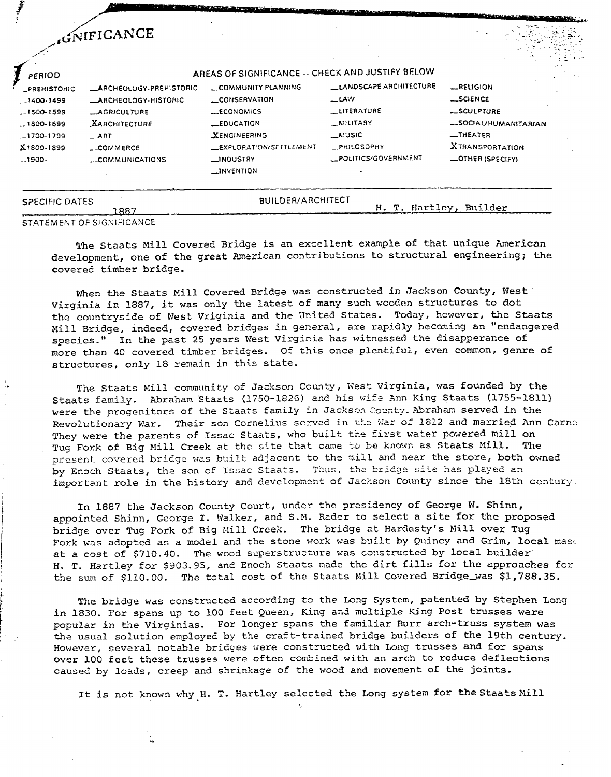|                                                                                                                             | GNIFICANCE                                                                                                                                         |                                                                                                                                                                                                                             |                                                                                                                                       |                                                                                                                                                |  |
|-----------------------------------------------------------------------------------------------------------------------------|----------------------------------------------------------------------------------------------------------------------------------------------------|-----------------------------------------------------------------------------------------------------------------------------------------------------------------------------------------------------------------------------|---------------------------------------------------------------------------------------------------------------------------------------|------------------------------------------------------------------------------------------------------------------------------------------------|--|
| PERIOD<br><b>PREHISTOHIC</b><br>$-1400.1499$<br>$-1500 - 1599$<br>$-1600-1699$<br>$-1700-1799$<br>$X1800-1899$<br>$-1900 -$ | <b>LARCHEOLOGY-PREHISTORIC</b><br><b>LARCHEOLOGY-HISTORIC</b><br><b>_AGRICULTURE</b><br><b>XARCHITECTURE</b><br>ART<br>_COMMERCE<br>COMMUNICATIONS | AREAS OF SIGNIFICANCE -- CHECK AND JUSTIFY BELOW<br>COMMUNITY PLANNING<br><b>LCONSERVATION</b><br><b>ECONOMICS</b><br><b>LEDUCATION</b><br><b>XENGINEERING</b><br>LEXPLORATION/SETTLEMENT<br>_INDUSTRY<br><b>LINVENTION</b> | LANDSCAPE ARCHITECTURE<br>$\mathcal{L}$ <i>AW</i><br>LUTERATURE<br>_MILITARY<br>__MIUSIC<br><b>_PHILOSOPHY</b><br>POLITICS/GOVERNMENT | <b>_RELIGION</b><br><b>__SCIENCE</b><br>-SCULPTURE<br>-SOCIAL/HUMANITARIAN<br>$L$ THEATER<br><b>XTRANSPORTATION</b><br><b>COTHER (SPECIFY)</b> |  |
| SPECIFIC DATES                                                                                                              | L887.<br>STATEMENT OF SIGNIFICANCE                                                                                                                 | <b>BUILDER/ARCHITECT</b>                                                                                                                                                                                                    |                                                                                                                                       | H. T. Hartley, Builder                                                                                                                         |  |

The Staats Mill Covered Bridge is an excellent example of that unique American development, one of the great American contributions to structural engineering; the covered timber bridge.

When the Staats Mill Covered Bridge was constructed **in** Jackson County, Nest Virginia in **1887,** it was only **the** latest of many such wooden structures to dot the countryside of **West** Vriginia and the United States. Today, however, **the Staats**  Mill Bridge, indeed, covered bridges in general, are rapidly becoming an "endangered species." In the past 25 years West Virginia has witnessed the disapperance of more than 40 covered timber bridges. Of this once plentiful, even common, genre of structures, only 18 remain in this state.

The Staats Mill cornunity of Jackson County, West Virginia, was founded by the Staats family. Abraham Staats (1750-1826) and his wife Ann King Staats (1755-1811) were the progenitors of the Staats family in Jackson County. Abraham served in the Revolutionary War. Their son Cornelius served in the War of 1812 and married Ann Carne They were the parents of Issac Staats, who built the first water powered mill on Tug Fork of Big Mill Creek at the site that came to be known as Staats Mill. The present covered bridge was built adjacent to the mill and near the store, both owned by Enoch Staats, the son of Issac Staats. Thus, the bridge site has played an important role in the history and development of Jackson County since the 18th century.

In 1887 the Jackson County Court, under the presidency of George W. Shinn,<br>appointed Shinn, George I. Walker, and S.M. Rader to select a site for the proposed appointed Shinn, George I. Walker, and S.M. Rader to select a site for the proposed<br>bridge over Tug Fork of Big Mill Creek. The bridge at Hardesty's Mill over Tug<br>Tughene adopted are a podel and the stone work was built by <sup>1</sup>**Fork** was adopted as a model and the stone work was **built** by Quincy **and** Grim, local mas,: at a cost of \$710.40. The wood superstructure was constructed by local builder <sup>I</sup>H. T. Kartley for \$903.95, and Enoch Staats made the **dirt** fills for the approaches for the sum of \$110.00. The total cost of the Staats Mill Covered Bridge\_was \$1,788.35.

The bridge was constructed according to the Long System, patented by Stephen Long in **1830.** For spans up to 100 feet Queen, King and multiple **Sing** Post trusses **wzre**  popular in the Virginias. For longer spans the familiar Rurr arch-truss system was the usual solution employed by the craft-trained bridge builders of the 19th century, However, several notable bridges were constructed with Iong trusses and for **spans**  over 100 feet these trusses **were** often conbined with an arch to reduce deflections caused by loads, creep and shrinkage of the wood and movement of the joints.

It is not known why H. T. Hartley selected the Long system for the Staats Mill

Ž.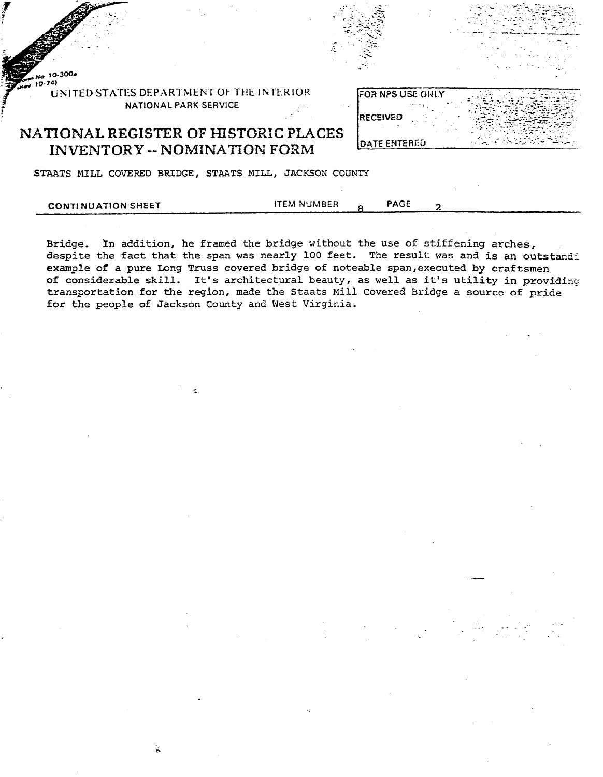UNITED STATES DEPARTMENT OF THE INTERIOR **2 NATIONAL PARK SERVICE** 

0-300a 74)

## **NATIONAL REGISTER Of: HlSTORiG** *3LA*  **CES INVENTORY -- NOMINATION FORM**

| FOR NPS USE ONLY    |  |
|---------------------|--|
| <b>IRECEIVED</b>    |  |
| <b>DATE ENTERED</b> |  |

**STAATS MILL** COVEFED **BRIDGE, STAATS** NIU, JACKSON COUNTY

| <b>CONTINUATION SHEET</b> | 'TEM NUMBER | PAGE |  |
|---------------------------|-------------|------|--|
|                           |             |      |  |

Bridge. **In** addition, he framed the bridge without the use of stiffening arches, despite the fact that the **span** was nearly 100 feet. The result **was** and is an outstand: example of a **pure** Long Truss covered bridge of noteable span,executed by craftsmen of considerable skill. It's architectural beauty, as well as **it's utility** in providing transportation for **the** region, made the Staats **Mill** Covered bridge a source of pride for the people of Jackson County and West **Virginia.**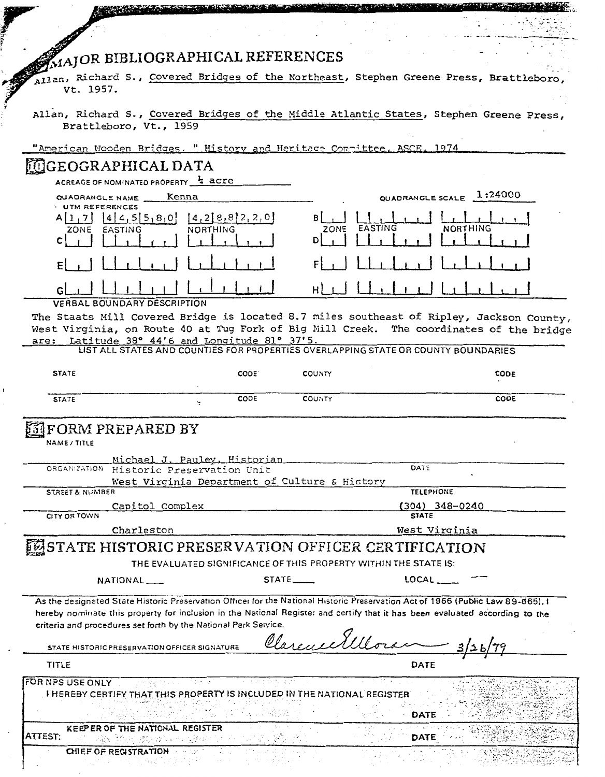|                                                                                 | MAJOR BIBLIOGRAPHICAL REFERENCES                                                   |                 |                                                                                                                                                                                                                                                                 |
|---------------------------------------------------------------------------------|------------------------------------------------------------------------------------|-----------------|-----------------------------------------------------------------------------------------------------------------------------------------------------------------------------------------------------------------------------------------------------------------|
|                                                                                 |                                                                                    |                 | allan, Richard S., Covered Bridges of the Northeast, Stephen Greene Press, Brattleboro.                                                                                                                                                                         |
| Vt. 1957.                                                                       |                                                                                    |                 |                                                                                                                                                                                                                                                                 |
| Brattleboro, Vt., 1959                                                          |                                                                                    |                 | Allan, Richard S., Covered Bridges of the Middle Atlantic States, Stephen Greene Press,                                                                                                                                                                         |
|                                                                                 | "American Wooden Bridges. " History and Heritage Committee, ASCE, 1974             |                 |                                                                                                                                                                                                                                                                 |
| <b>MGEOGRAPHICAL DATA</b>                                                       |                                                                                    |                 |                                                                                                                                                                                                                                                                 |
| ACREAGE OF NOMINATED PROPERTY 4 ACTE                                            |                                                                                    |                 |                                                                                                                                                                                                                                                                 |
| QUADRANGLE NAME<br>UTM REFERENCES                                               | Kenna                                                                              |                 | QUADRANGLE SCALE 1:24000                                                                                                                                                                                                                                        |
| [4]4,5]5,8,0]<br>A[1,7]<br>EASTING<br>ZONE<br>c                                 | [4,2[8,8]2,2,0]<br>NORTHING                                                        | EASTING<br>ZONE | <b>NORTHING</b>                                                                                                                                                                                                                                                 |
|                                                                                 |                                                                                    |                 |                                                                                                                                                                                                                                                                 |
|                                                                                 |                                                                                    |                 |                                                                                                                                                                                                                                                                 |
| <b>VERBAL BOUNDARY DESCRIPTION</b>                                              |                                                                                    |                 |                                                                                                                                                                                                                                                                 |
| are:                                                                            | Latitude 38° 44'6 and Longitude 81° 37'5.                                          |                 | The Staats Mill Covered Bridge is located 8.7 miles southeast of Ripley, Jackson County,<br>West Virginia, on Route 40 at Tug Fork of Big Mill Creek. The coordinates of the bridge                                                                             |
|                                                                                 | LIST ALL STATES AND COUNTIES FOR PROPERTIES OVERLAPPING STATE OR COUNTY BOUNDARIES |                 |                                                                                                                                                                                                                                                                 |
| <b>STATE</b>                                                                    | <b>CODE</b>                                                                        | COUNTY          | <b>CODE</b>                                                                                                                                                                                                                                                     |
|                                                                                 | CODE                                                                               | <b>COUNTY</b>   | CODE                                                                                                                                                                                                                                                            |
| <b>STATE</b>                                                                    | ÷.                                                                                 |                 |                                                                                                                                                                                                                                                                 |
| FORM PREPARED BY<br>NAME / TITLE                                                |                                                                                    |                 |                                                                                                                                                                                                                                                                 |
| ORGANIZATION                                                                    | Michael J. Pauley, Historian                                                       |                 | DATE                                                                                                                                                                                                                                                            |
|                                                                                 | Historic Preservation Unit<br>West Virginia Department of Culture & History        |                 |                                                                                                                                                                                                                                                                 |
| <b>STREET &amp; NUMBER</b>                                                      |                                                                                    |                 | TELEPHONE                                                                                                                                                                                                                                                       |
| CITY OR TOWN                                                                    | Capitol Complex                                                                    |                 | $(304)$ 348-0240<br><b>STATE</b>                                                                                                                                                                                                                                |
| Charleston                                                                      |                                                                                    |                 | West Virginia                                                                                                                                                                                                                                                   |
| ESTATE HISTORIC PRESERVATION OFFICER CERTIFICATION                              |                                                                                    |                 |                                                                                                                                                                                                                                                                 |
|                                                                                 | THE EVALUATED SIGNIFICANCE OF THIS PROPERTY WITHIN THE STATE IS:                   |                 |                                                                                                                                                                                                                                                                 |
| NATIONAL                                                                        |                                                                                    | STATE           |                                                                                                                                                                                                                                                                 |
|                                                                                 |                                                                                    |                 | As the designated State Historic Preservation Officer for the National Historic Preservation Act of 1966 (Public Law 89-665), I<br>hereby nominate this property for inclusion in the National Register and certify that it has been evaluated according to the |
|                                                                                 | criteria and procedures set forth by the National Park Service.                    |                 |                                                                                                                                                                                                                                                                 |
| STATE HISTORIC PRESERVATION OFFICER SIGNATURE                                   |                                                                                    | Clarence Illes  |                                                                                                                                                                                                                                                                 |
| TITLE                                                                           |                                                                                    |                 | <b>DATE</b>                                                                                                                                                                                                                                                     |
| FOR NPS USE ONLY                                                                | <b>I HEREBY CERTIFY THAT THIS PROPERTY IS INCLUDED IN THE NATIONAL REGISTER</b>    |                 |                                                                                                                                                                                                                                                                 |
|                                                                                 |                                                                                    |                 | <b>DATE</b>                                                                                                                                                                                                                                                     |
| KEEPER OF THE NATIONAL REGISTER<br>ATTEST:<br>CHIEF OF REGISTRATION And ALCOHOL | 23: 14:50 #아카드 ~ 12~20 0                                                           |                 | <b>DATE</b>                                                                                                                                                                                                                                                     |

**BATAN** 

 $\sim 6$   $\mu$ 95 Y.W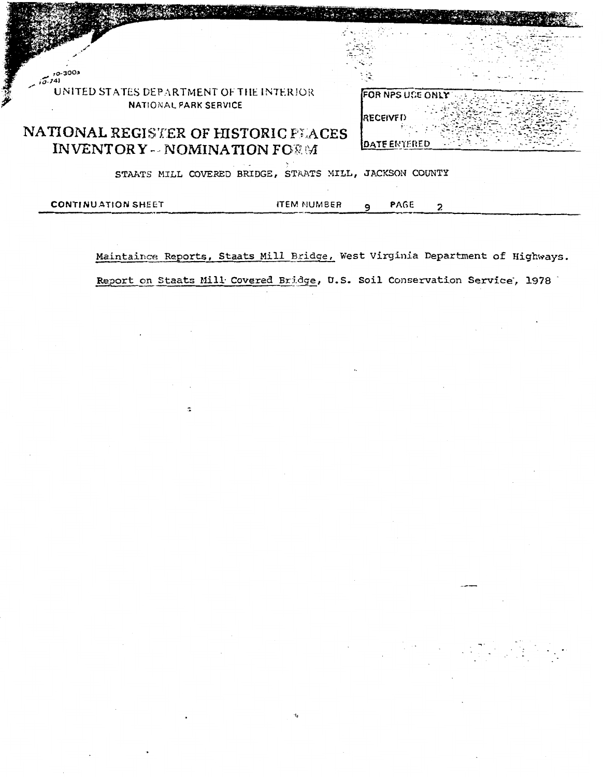| 0.300a                                                                     |                                     |
|----------------------------------------------------------------------------|-------------------------------------|
| UNITED STATES DEPARTMENT OF THE INTERIOR<br>NATIONAL PARK SERVICE          | FOR NPS USE ONLY<br><b>RECEIVED</b> |
| NATIONAL REGISTER OF HISTORIC PLACES<br><b>INVENTORY - NOMINATION FORM</b> | IDATE ENTERED                       |
| STAATS MILL COVERED BRIDGE, STAATS MILL, JACKSON                           | COUNTY                              |

**CONTINUATION SHEET ITEM NUMBER** PAGE 9  $\overline{\mathbf{c}}$ 

 $\ddot{\cdot}$ 

Maintaince Reports, Staats Mill Bridge, West Virginia Department of Highways. Report on Staats Mill Covered Bridge, U.S. Soil Conservation Service, 1978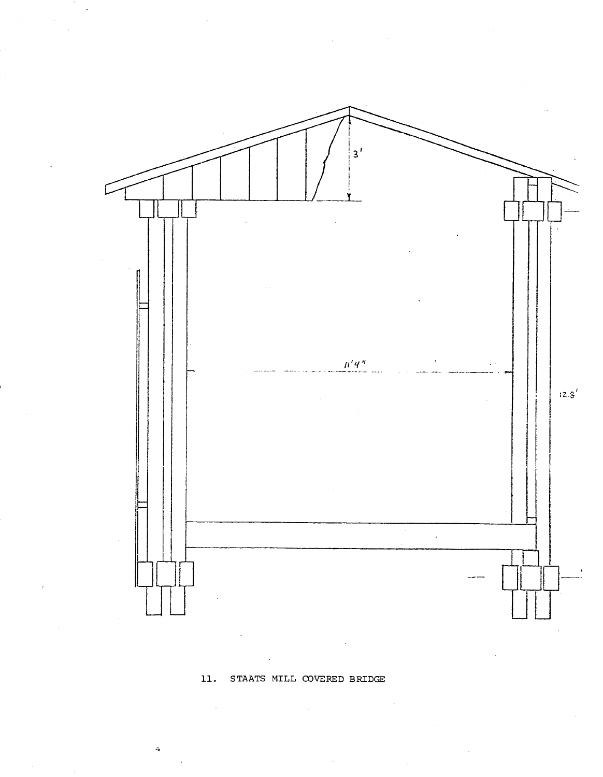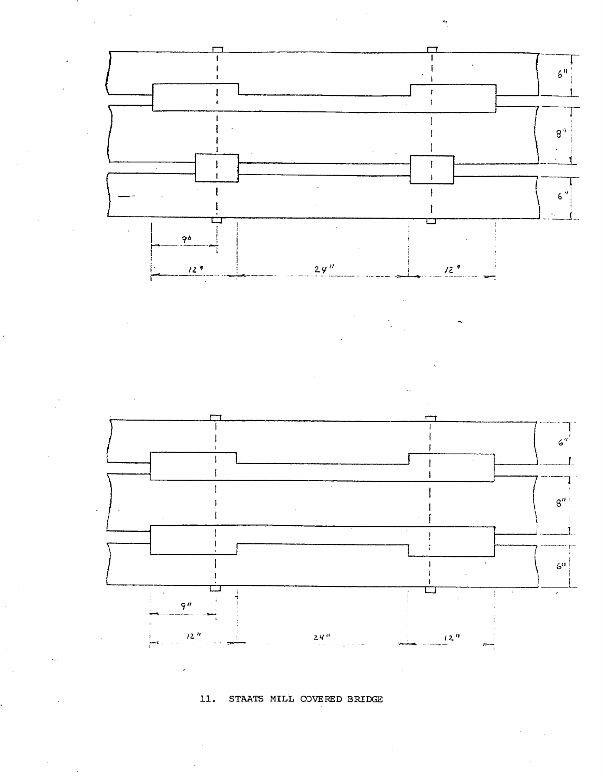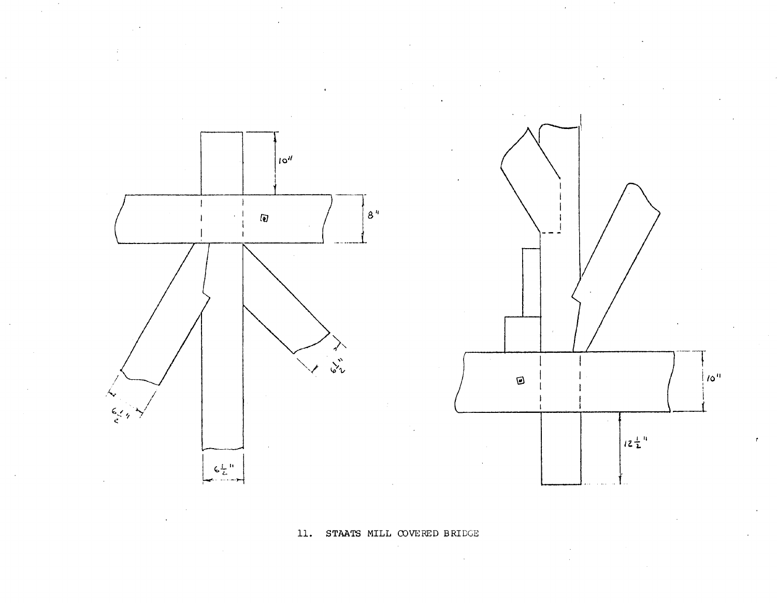

 $\sim$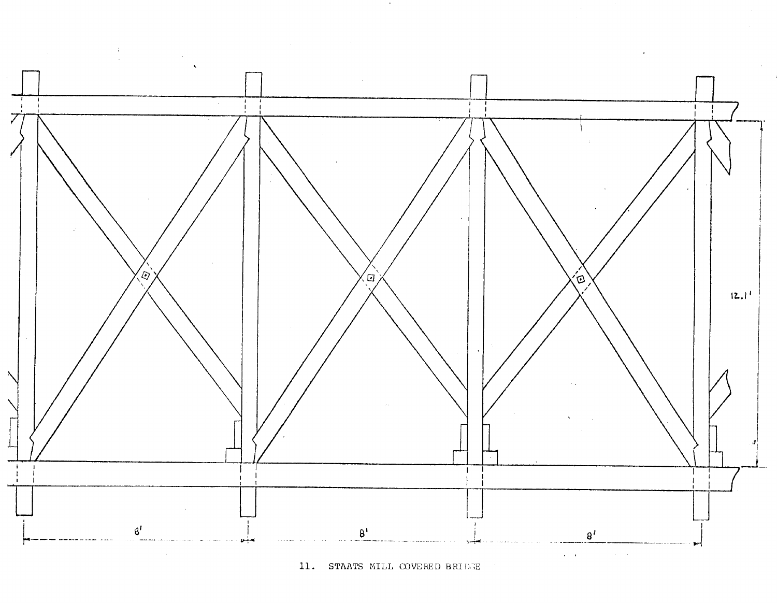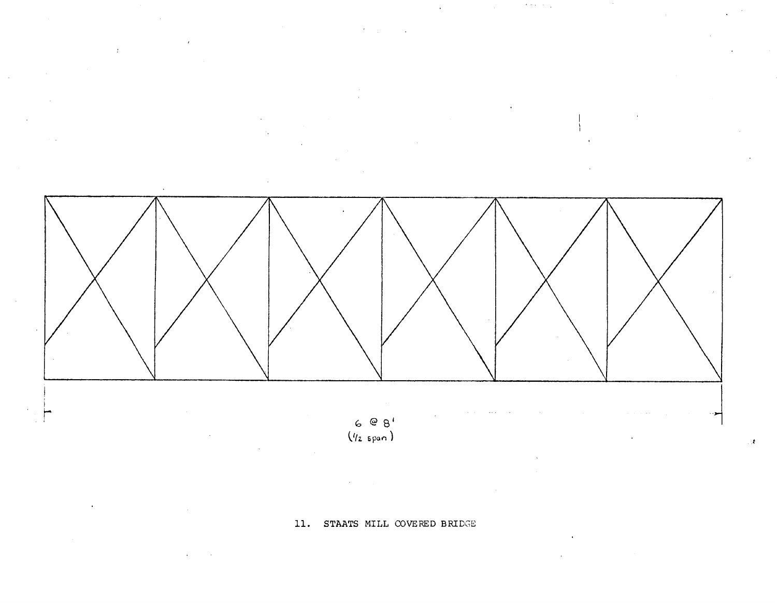